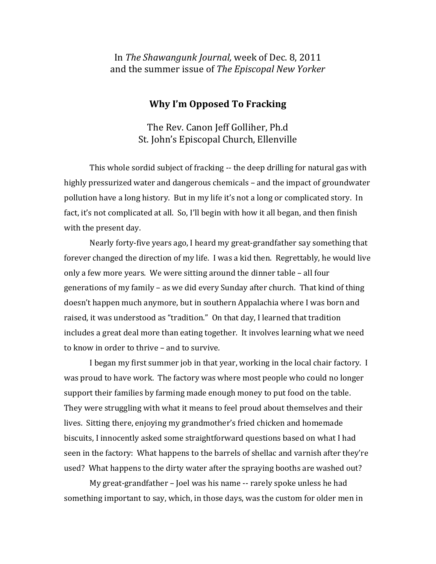## In *The Shawangunk Journal,* week of Dec. 8, 2011 and the summer issue of *The Episcopal New Yorker*

## **Why I'm Opposed To Fracking**

The Rev. Canon Jeff Golliher, Ph.d St. John's Episcopal Church, Ellenville

This whole sordid subject of fracking ‐‐ the deep drilling for natural gas with highly pressurized water and dangerous chemicals – and the impact of groundwater pollution have a long history. But in my life it's not a long or complicated story. In fact, it's not complicated at all. So, I'll begin with how it all began, and then finish with the present day.

Nearly forty‐five years ago, I heard my great‐grandfather say something that forever changed the direction of my life. I was a kid then. Regrettably, he would live only a few more years. We were sitting around the dinner table – all four generations of my family – as we did every Sunday after church. That kind of thing doesn't happen much anymore, but in southern Appalachia where I was born and raised, it was understood as "tradition." On that day, I learned that tradition includes a great deal more than eating together. It involves learning what we need to know in order to thrive – and to survive.

 I began my first summer job in that year, working in the local chair factory. I was proud to have work. The factory was where most people who could no longer support their families by farming made enough money to put food on the table. They were struggling with what it means to feel proud about themselves and their lives. Sitting there, enjoying my grandmother's fried chicken and homemade biscuits, I innocently asked some straightforward questions based on what I had seen in the factory: What happens to the barrels of shellac and varnish after they're used? What happens to the dirty water after the spraying booths are washed out?

My great-grandfather – Joel was his name -- rarely spoke unless he had something important to say, which, in those days, was the custom for older men in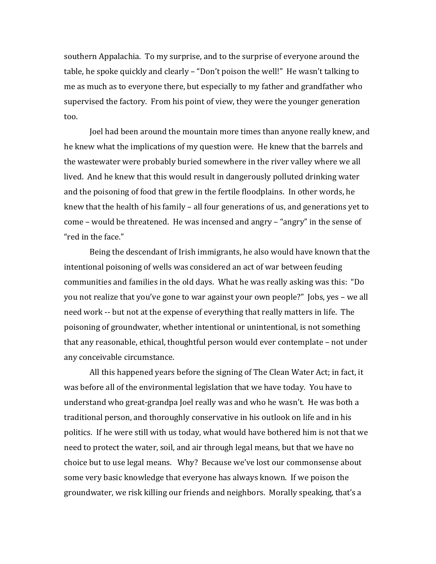southern Appalachia. To my surprise, and to the surprise of everyone around the table, he spoke quickly and clearly – "Don't poison the well!" He wasn't talking to me as much as to everyone there, but especially to my father and grandfather who supervised the factory. From his point of view, they were the younger generation too.

Joel had been around the mountain more times than anyone really knew, and he knew what the implications of my question were. He knew that the barrels and the wastewater were probably buried somewhere in the river valley where we all lived. And he knew that this would result in dangerously polluted drinking water and the poisoning of food that grew in the fertile floodplains. In other words, he knew that the health of his family – all four generations of us, and generations yet to come – would be threatened. He was incensed and angry – "angry" in the sense of "red in the face."

Being the descendant of Irish immigrants, he also would have known that the intentional poisoning of wells was considered an act of war between feuding communities and families in the old days. What he was really asking was this: "Do you not realize that you've gone to war against your own people?" Jobs, yes – we all need work ‐‐ but not at the expense of everything that really matters in life. The poisoning of groundwater, whether intentional or unintentional, is not something that any reasonable, ethical, thoughtful person would ever contemplate – not under any conceivable circumstance.

All this happened years before the signing of The Clean Water Act; in fact, it was before all of the environmental legislation that we have today. You have to understand who great‐grandpa Joel really was and who he wasn't. He was both a traditional person, and thoroughly conservative in his outlook on life and in his politics. If he were still with us today, what would have bothered him is not that we need to protect the water, soil, and air through legal means, but that we have no choice but to use legal means. Why? Because we've lost our commonsense about some very basic knowledge that everyone has always known. If we poison the groundwater, we risk killing our friends and neighbors. Morally speaking, that's a